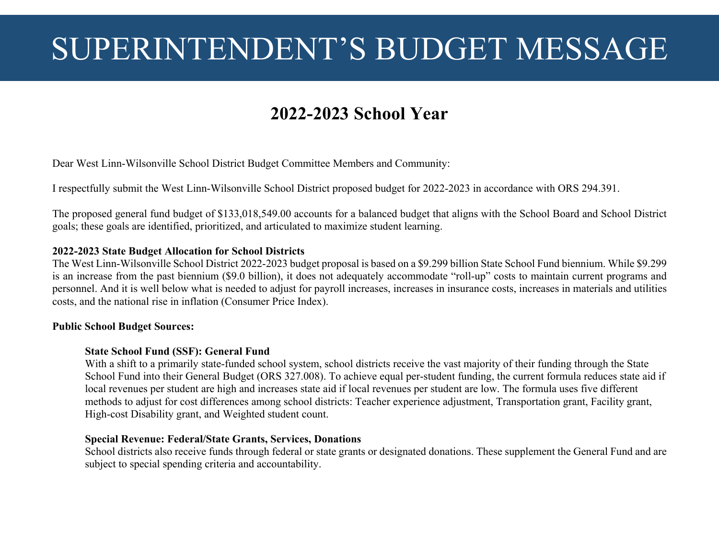# SUPERINTENDENT'S BUDGET MESSAGE

# **2022-2023 School Year**

Dear West Linn-Wilsonville School District Budget Committee Members and Community:

I respectfully submit the West Linn-Wilsonville School District proposed budget for 2022-2023 in accordance with ORS 294.391.

The proposed general fund budget of \$133,018,549.00 accounts for a balanced budget that aligns with the School Board and School District goals; these goals are identified, prioritized, and articulated to maximize student learning.

#### **2022-2023 State Budget Allocation for School Districts**

The West Linn-Wilsonville School District 2022-2023 budget proposal is based on a \$9.299 billion State School Fund biennium. While \$9.299 is an increase from the past biennium (\$9.0 billion), it does not adequately accommodate "roll-up" costs to maintain current programs and personnel. And it is well below what is needed to adjust for payroll increases, increases in insurance costs, increases in materials and utilities costs, and the national rise in inflation (Consumer Price Index).

#### **Public School Budget Sources:**

#### **State School Fund (SSF): General Fund**

With a shift to a primarily state-funded school system, school districts receive the vast majority of their funding through the State School Fund into their General Budget (ORS 327.008). To achieve equal per-student funding, the current formula reduces state aid if local revenues per student are high and increases state aid if local revenues per student are low. The formula uses five different methods to adjust for cost differences among school districts: Teacher experience adjustment, Transportation grant, Facility grant, High-cost Disability grant, and Weighted student count.

#### **Special Revenue: Federal/State Grants, Services, Donations**

School districts also receive funds through federal or state grants or designated donations. These supplement the General Fund and are subject to special spending criteria and accountability.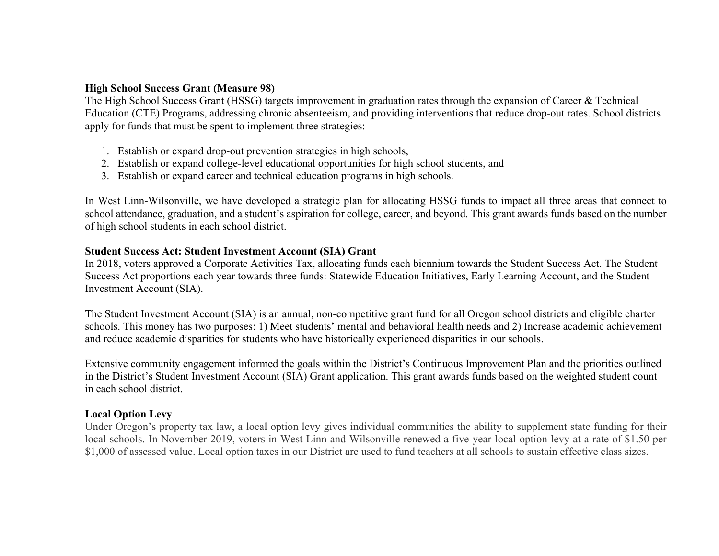#### **High School Success Grant (Measure 98)**

The High School Success Grant (HSSG) targets improvement in graduation rates through the expansion of Career & Technical Education (CTE) Programs, addressing chronic absenteeism, and providing interventions that reduce drop-out rates. School districts apply for funds that must be spent to implement three strategies:

- 1. Establish or expand drop-out prevention strategies in high schools,
- 2. Establish or expand college-level educational opportunities for high school students, and
- 3. Establish or expand career and technical education programs in high schools.

In West Linn-Wilsonville, we have developed a strategic plan for allocating HSSG funds to impact all three areas that connect to school attendance, graduation, and a student's aspiration for college, career, and beyond. This grant awards funds based on the number of high school students in each school district.

#### **Student Success Act: Student Investment Account (SIA) Grant**

In 2018, voters approved a Corporate Activities Tax, allocating funds each biennium towards the Student Success Act. The Student Success Act proportions each year towards three funds: Statewide Education Initiatives, Early Learning Account, and the Student Investment Account (SIA).

The Student Investment Account (SIA) is an annual, non-competitive grant fund for all Oregon school districts and eligible charter schools. This money has two purposes: 1) Meet students' mental and behavioral health needs and 2) Increase academic achievement and reduce academic disparities for students who have historically experienced disparities in our schools.

Extensive community engagement informed the goals within the District's Continuous Improvement Plan and the priorities outlined in the District's Student Investment Account (SIA) Grant application. This grant awards funds based on the weighted student count in each school district.

#### **Local Option Levy**

Under Oregon's property tax law, a local option levy gives individual communities the ability to supplement state funding for their local schools. In November 2019, voters in West Linn and Wilsonville renewed a five-year local option levy at a rate of \$1.50 per \$1,000 of assessed value. Local option taxes in our District are used to fund teachers at all schools to sustain effective class sizes.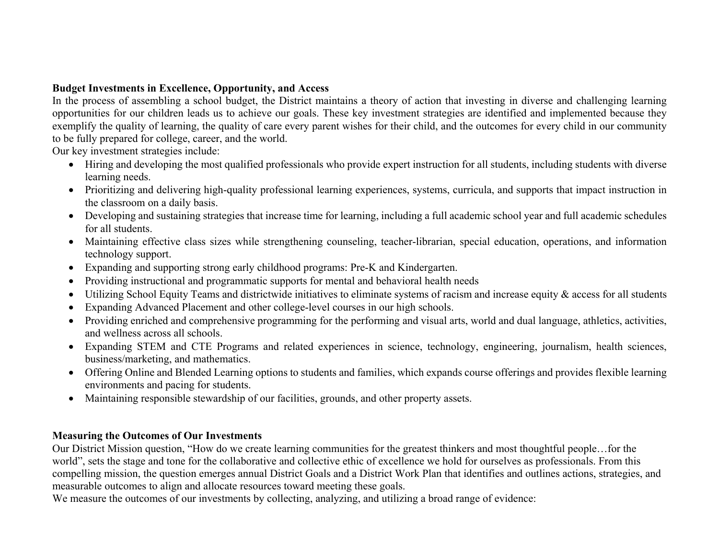# **Budget Investments in Excellence, Opportunity, and Access**

In the process of assembling a school budget, the District maintains a theory of action that investing in diverse and challenging learning opportunities for our children leads us to achieve our goals. These key investment strategies are identified and implemented because they exemplify the quality of learning, the quality of care every parent wishes for their child, and the outcomes for every child in our community to be fully prepared for college, career, and the world.

Our key investment strategies include:

- Hiring and developing the most qualified professionals who provide expert instruction for all students, including students with diverse learning needs.
- Prioritizing and delivering high-quality professional learning experiences, systems, curricula, and supports that impact instruction in the classroom on a daily basis.
- Developing and sustaining strategies that increase time for learning, including a full academic school year and full academic schedules for all students.
- Maintaining effective class sizes while strengthening counseling, teacher-librarian, special education, operations, and information technology support.
- Expanding and supporting strong early childhood programs: Pre-K and Kindergarten.
- Providing instructional and programmatic supports for mental and behavioral health needs
- $\bullet$ Utilizing School Equity Teams and districtwide initiatives to eliminate systems of racism and increase equity & access for all students
- Expanding Advanced Placement and other college-level courses in our high schools.
- Providing enriched and comprehensive programming for the performing and visual arts, world and dual language, athletics, activities, and wellness across all schools.
- Expanding STEM and CTE Programs and related experiences in science, technology, engineering, journalism, health sciences, business/marketing, and mathematics.
- Offering Online and Blended Learning options to students and families, which expands course offerings and provides flexible learning environments and pacing for students.
- Maintaining responsible stewardship of our facilities, grounds, and other property assets.

#### **Measuring the Outcomes of Our Investments**

Our District Mission question, "How do we create learning communities for the greatest thinkers and most thoughtful people…for the world", sets the stage and tone for the collaborative and collective ethic of excellence we hold for ourselves as professionals. From this compelling mission, the question emerges annual District Goals and a District Work Plan that identifies and outlines actions, strategies, and measurable outcomes to align and allocate resources toward meeting these goals.

We measure the outcomes of our investments by collecting, analyzing, and utilizing a broad range of evidence: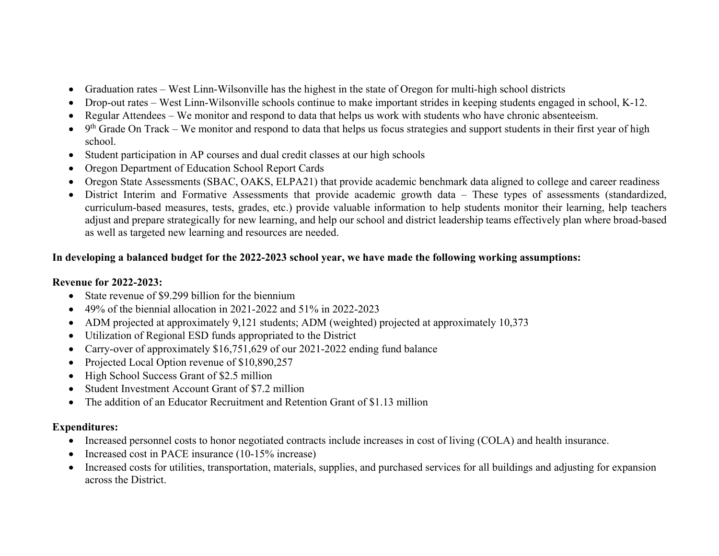- Graduation rates West Linn-Wilsonville has the highest in the state of Oregon for multi-high school districts
- Drop-out rates West Linn-Wilsonville schools continue to make important strides in keeping students engaged in school, K-12.
- $\bullet$ Regular Attendees – We monitor and respond to data that helps us work with students who have chronic absenteeism.
- $\bullet$  9<sup>th</sup> Grade On Track We monitor and respond to data that helps us focus strategies and support students in their first year of high school.
- Student participation in AP courses and dual credit classes at our high schools
- $\bullet$ Oregon Department of Education School Report Cards
- Oregon State Assessments (SBAC, OAKS, ELPA21) that provide academic benchmark data aligned to college and career readiness
- District Interim and Formative Assessments that provide academic growth data These types of assessments (standardized, curriculum-based measures, tests, grades, etc.) provide valuable information to help students monitor their learning, help teachers adjust and prepare strategically for new learning, and help our school and district leadership teams effectively plan where broad-based as well as targeted new learning and resources are needed.

# **In developing a balanced budget for the 2022-2023 school year, we have made the following working assumptions:**

# **Revenue for 2022-2023:**

- State revenue of \$9.299 billion for the biennium
- $\bullet$  49% of the biennial allocation in 2021-2022 and 51% in 2022-2023
- ADM projected at approximately 9,121 students; ADM (weighted) projected at approximately 10,373
- Utilization of Regional ESD funds appropriated to the District
- Carry-over of approximately \$16,751,629 of our 2021-2022 ending fund balance
- Projected Local Option revenue of \$10,890,257
- High School Success Grant of \$2.5 million
- $\bullet$ Student Investment Account Grant of \$7.2 million
- The addition of an Educator Recruitment and Retention Grant of \$1.13 million

#### **Expenditures:**

- Increased personnel costs to honor negotiated contracts include increases in cost of living (COLA) and health insurance.
- Increased cost in PACE insurance (10-15% increase)
- Increased costs for utilities, transportation, materials, supplies, and purchased services for all buildings and adjusting for expansion across the District.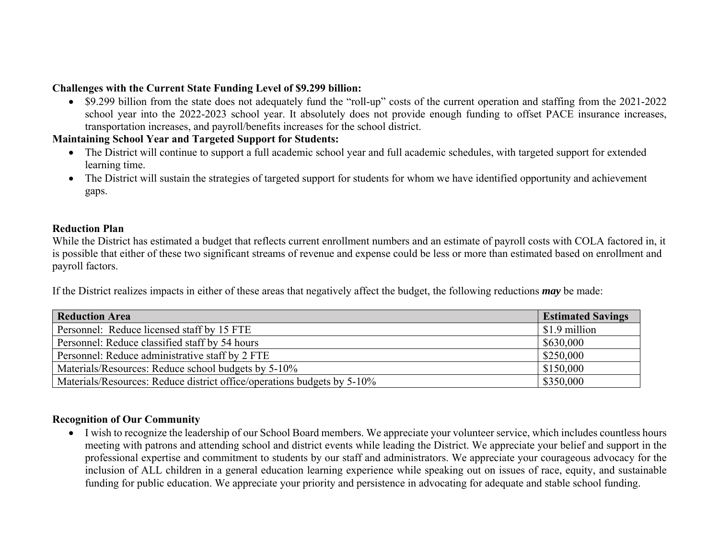## **Challenges with the Current State Funding Level of \$9.299 billion:**

• \$9.299 billion from the state does not adequately fund the "roll-up" costs of the current operation and staffing from the 2021-2022 school year into the 2022-2023 school year. It absolutely does not provide enough funding to offset PACE insurance increases, transportation increases, and payroll/benefits increases for the school district.

#### **Maintaining School Year and Targeted Support for Students:**

- The District will continue to support a full academic school year and full academic schedules, with targeted support for extended learning time.
- The District will sustain the strategies of targeted support for students for whom we have identified opportunity and achievement gaps.

## **Reduction Plan**

While the District has estimated a budget that reflects current enrollment numbers and an estimate of payroll costs with COLA factored in, it is possible that either of these two significant streams of revenue and expense could be less or more than estimated based on enrollment and payroll factors.

If the District realizes impacts in either of these areas that negatively affect the budget, the following reductions *may* be made:

| <b>Reduction Area</b>                                                   | <b>Estimated Savings</b> |
|-------------------------------------------------------------------------|--------------------------|
| Personnel: Reduce licensed staff by 15 FTE                              | \$1.9 million            |
| Personnel: Reduce classified staff by 54 hours                          | \$630,000                |
| Personnel: Reduce administrative staff by 2 FTE                         | \$250,000                |
| Materials/Resources: Reduce school budgets by 5-10%                     | \$150,000                |
| Materials/Resources: Reduce district office/operations budgets by 5-10% | \$350,000                |

#### **Recognition of Our Community**

 I wish to recognize the leadership of our School Board members. We appreciate your volunteer service, which includes countless hours meeting with patrons and attending school and district events while leading the District. We appreciate your belief and support in the professional expertise and commitment to students by our staff and administrators. We appreciate your courageous advocacy for the inclusion of ALL children in a general education learning experience while speaking out on issues of race, equity, and sustainable funding for public education. We appreciate your priority and persistence in advocating for adequate and stable school funding.